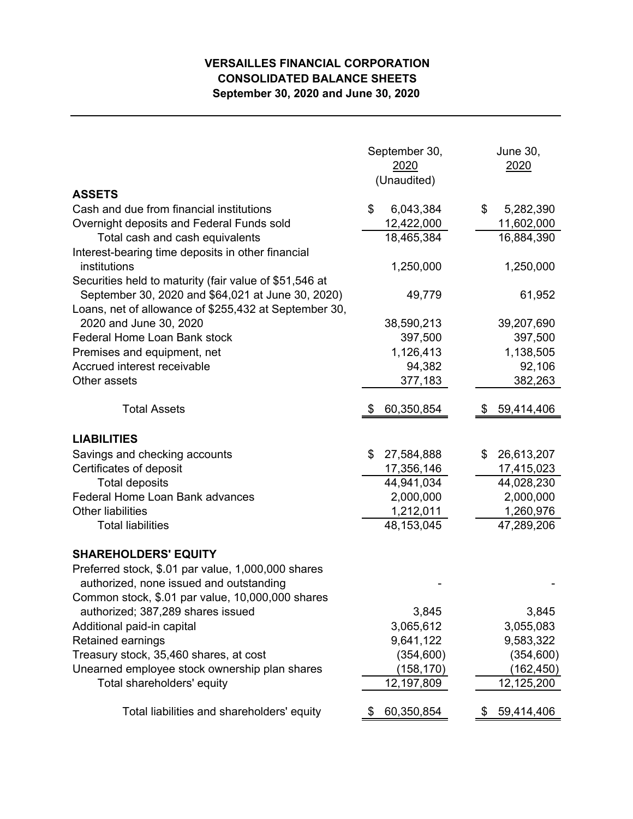## **VERSAILLES FINANCIAL CORPORATION CONSOLIDATED BALANCE SHEETS September 30, 2020 and June 30, 2020**

|                                                           | September 30,<br>2020<br>(Unaudited) | <b>June 30,</b><br>2020 |  |  |
|-----------------------------------------------------------|--------------------------------------|-------------------------|--|--|
| <b>ASSETS</b><br>Cash and due from financial institutions | 6,043,384<br>\$                      | 5,282,390<br>\$         |  |  |
| Overnight deposits and Federal Funds sold                 | 12,422,000                           | 11,602,000              |  |  |
| Total cash and cash equivalents                           | 18,465,384                           | 16,884,390              |  |  |
| Interest-bearing time deposits in other financial         |                                      |                         |  |  |
| institutions                                              | 1,250,000                            | 1,250,000               |  |  |
| Securities held to maturity (fair value of \$51,546 at    |                                      |                         |  |  |
| September 30, 2020 and \$64,021 at June 30, 2020)         | 49,779                               | 61,952                  |  |  |
| Loans, net of allowance of \$255,432 at September 30,     |                                      |                         |  |  |
| 2020 and June 30, 2020                                    | 38,590,213                           | 39,207,690              |  |  |
| <b>Federal Home Loan Bank stock</b>                       | 397,500                              | 397,500                 |  |  |
| Premises and equipment, net                               | 1,126,413                            | 1,138,505               |  |  |
| Accrued interest receivable                               | 94,382                               | 92,106                  |  |  |
| Other assets                                              | 377,183                              | 382,263                 |  |  |
| <b>Total Assets</b>                                       | 60,350,854                           | 59,414,406              |  |  |
|                                                           |                                      |                         |  |  |
| <b>LIABILITIES</b>                                        |                                      |                         |  |  |
| Savings and checking accounts                             | 27,584,888<br>\$                     | 26,613,207<br>\$        |  |  |
| Certificates of deposit                                   | 17,356,146                           | 17,415,023              |  |  |
| <b>Total deposits</b>                                     | 44,941,034                           | 44,028,230              |  |  |
| Federal Home Loan Bank advances                           | 2,000,000                            | 2,000,000               |  |  |
| <b>Other liabilities</b><br><b>Total liabilities</b>      | 1,212,011                            | 1,260,976               |  |  |
|                                                           | 48,153,045                           | 47,289,206              |  |  |
| <b>SHAREHOLDERS' EQUITY</b>                               |                                      |                         |  |  |
| Preferred stock, \$.01 par value, 1,000,000 shares        |                                      |                         |  |  |
| authorized, none issued and outstanding                   |                                      |                         |  |  |
| Common stock, \$.01 par value, 10,000,000 shares          |                                      |                         |  |  |
| authorized; 387,289 shares issued                         | 3,845                                | 3,845                   |  |  |
| Additional paid-in capital                                | 3,065,612                            | 3,055,083               |  |  |
| Retained earnings                                         | 9,641,122                            | 9,583,322               |  |  |
| Treasury stock, 35,460 shares, at cost                    | (354, 600)                           | (354, 600)              |  |  |
| Unearned employee stock ownership plan shares             | (158, 170)                           | (162, 450)              |  |  |
| Total shareholders' equity                                | 12,197,809                           | 12,125,200              |  |  |
| Total liabilities and shareholders' equity                | 60,350,854                           | 59,414,406<br>P.        |  |  |